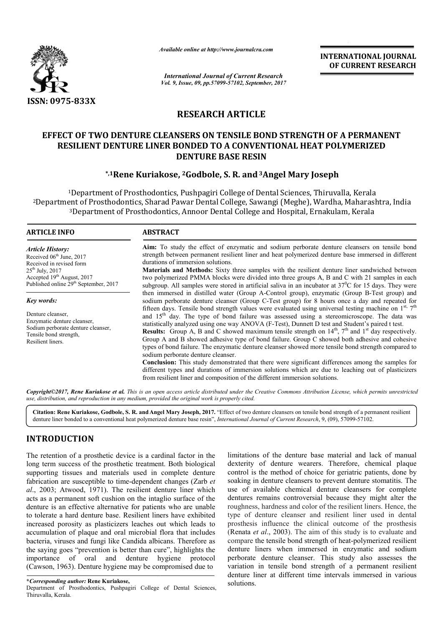

*Available online at http://www.journal http://www.journalcra.com*

*International Journal of Current Research Vol. 9, Issue, 09, pp.57099-57102, September, 2017* **INTERNATIONAL JOURNAL OF CURRENT RESEARCH** 

# **RESEARCH ARTICLE**

# **EFFECT OF TWO DENTURE CLEANSERS ON TENSILE BOND STRENGTH OF A PERMANENT RESILIENT DENTURE LINER BONDED TO A CONVENTIONAL HEAT POLYMERIZED DENTURE BASE RESIN** ECT OF TWO DENTURE CLEANSERS ON TENSILE BOND STRENGTH OF A PERMANENT<br>RESILIENT DENTURE LINER BONDED TO A CONVENTIONAL HEAT POLYMERIZED<br>DENTURE BASE RESIN<br>\*,<sup>1</sup>Rene Kuriakose, <sup>2</sup>Godbole, S. R. and <sup>3</sup>Angel Mary Joseph

### **\*,1Rene Kuriakose Rene Kuriakose, 2Godbole, S. R. and3Angel Mary Joseph**

<sup>1</sup>Department of Prosthodontics, Pushpagiri College of Dental Sciences, Thiruvalla, Kerala 2Department of Prosthodontics, Sharad Pawar Dental College, Sawangi (Meghe), Wardha, Maharashtra, India <sup>3</sup>Department of Prosthodontics, Annoor Dental College and Hospital, Ernakulam, Kerala Pushpagiri College of Dental Sciences, Thiruvalla, Kerala<br>war Dental College, Sawangi (Meghe), Wardha, Maharashtra,<br>Annoor Dental College and Hospital, Ernakulam, Kerala

#### **ARTICLE INFO ABSTRACT**

*Article History:* Received 06<sup>th</sup> June, 2017 Received in revised form  $25<sup>th</sup>$  July,  $2017$ Accepted 19<sup>th</sup> August, 2017 Published online 29<sup>th</sup> September, 2017

*Key words:*

Denture cleanser, Enzymatic denture cleanser, Sodium perborate denture cleanser, Tensile bond strength, Resilient liners.

**Aim:** To study the effect of enzymatic and sodium perborate denture cleansers on tensile bond strength between permanent resilient liner and heat polymerized denture base immersed in different durations of immersion solutions. **Aim:** To study the effect of enzymatic and sodium perborate denture cleansers strength between permanent resilient liner and heat polymerized denture base immedurations of immersion solutions.<br>**Materials and Methods:** Si

Materials and Methods: Sixty three samples with the resilient denture liner sandwiched between two polymerized PMMA blocks were divided into three g groups A, B and C with 21 samples in each subgroup. All samples were stored in artificial saliva in an incubator at  $37^{\circ}$ C for 15 days. They were then immersed in distilled water (Group A-Control group), enzymatic (Group B-Test group) and sodium perborate denture cleanser (Group C-Test group) for 8 hours once a day and repeated for sodium perborate denture cleanser (Group C-Test group) for 8 hours once a day and repeated for fifteen days. Tensile bond strength values were evaluated using universal testing machine on  $1^{st}$ ,  $7^{th}$ and 15<sup>th</sup> day. The type of bond failure was assessed using a stereomicroscope. The data was statistically analyzed using one way ANOVA (F-Test), Dunnett D test and Student's paired t test. statistically analyzed using one way ANOVA (F-Test), Dunnett D test and Student's paired t test.<br>**Results:** Group A, B and C showed maximum tensile strength on  $14<sup>th</sup>$ , 7<sup>th</sup> and 1<sup>st</sup> day respectively. Group A and B showed adhesive type of bond failure. Group C showed both adhesive and cohesive types of bond failure. The enzymatic denture cleanser showed more tensile bond strength compared to Group A and B showed adhesive type of bond failure. Group C showed both adhesive and cohesive types of bond failure. The enzymatic denture cleanser showed more tensile bond strength compared to sodium perborate denture cle

sodium perborate denture cleanser. **Conclusion:** This study demonstrated that there were significant differences different types and durations of immersion solutions which are due to leaching out of plasticizers from resilient liner and composition of the different immersion solutions. from resilient liner and composition of the different immersion solutions.

*Copyright©2017, Rene Kuriakose et al. This is an open access article distributed under the Creative Commons Attribution License, which ribution permits unrestricted use, distribution, and reproduction in any medium, provided the original work is properly cited.*

Citation: Rene Kuriakose, Godbole, S. R. and Angel Mary Joseph, 2017. "Effect of two denture cleansers on tensile bond strength of a permanent resilient<br>denture liner bonded to a conventional heat polymerized denture base denture liner bonded to a conventional heat polymerized denture base resin", *International Journal of Current Research*,

# **INTRODUCTION**

The retention of a prosthetic device is a cardinal factor in the long term success of the prosthetic treatment. Both biological supporting tissues and materials used in complete denture fabrication are susceptible to time-dependent changes (Zarb *et al*., 2003; Atwood, 1971). The resilient denture liner which acts as a permanent soft cushion on the intaglio surface of the denture is an effective alternative for patients who are unable to tolerate a hard denture base. Resilient liners have exhibited increased porosity as plasticizers leaches out which leads to accumulation of plaque and oral microbial flora that includes bacteria, viruses and fungi like Candida albicans. Therefore as the saying goes "prevention is better than cure", highlights the importance of oral and denture hygiene protocol (Cawson, 1963). Denture hygiene may be compromised due to

f a prosthetic device is a cardinal factor in the limitations of the denture base material and lack of manual<br>
ses of the prosthetic treatment. Both biological dextreity of denture wearers. Therefore, chemical plaque<br>
ace dexterity of denture wearers. Therefore, chemical plaque control is the method of choice for geriatric patients, done by soaking in denture cleansers to prevent denture stomatitis. The use of available chemical denture cleansers for complete dentures remains controversial because they might alter the roughness, hardness and color of the resilient liners. Hence, the type of denture cleanser and resilient liner used in dental prosthesis influence the clinical outcome of the prosthesis (Renata *et al*., 2003). The aim of this study is to evaluate and compare the tensile bond strength of heat-polymerized resilient denture liners when immersed in enzymatic and sodium perborate denture cleanser. This study also assesses the variation in tensile bond strength of a permanent resilient denture liner at different time intervals immersed in various solutions. limitations of the denture base material and lack of manual dexterity of denture wearers. Therefore, chemical plaque control is the method of choice for geriatric patients, done by soaking in denture cleansers to prevent d use of available chemical denture cleansers for complete dentures remains controversial because they might alter the roughness, hardness and color of the resilient liners. Hence, the type of denture cleanser and resilient denture liners when immersed in enzymatic and sodium perborate denture cleanser. This study also assesses the variation in tensile bond strength of a permanent resilient denture liner at different time intervals immersed i

**<sup>\*</sup>***Corresponding author:* **Rene Kuriakose,** Department of Prosthodontics, Pushpagiri College of Dental Sciences, Thiruvalla, Kerala.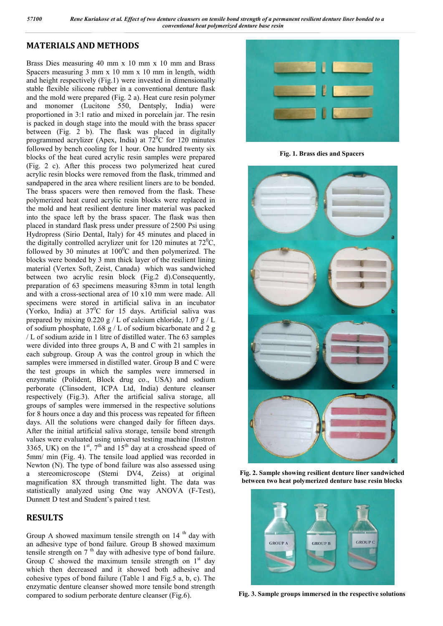# **MATERIALS AND METHODS**

Brass Dies measuring 40 mm x 10 mm x 10 mm and Brass Spacers measuring  $3 \text{ mm} \times 10 \text{ mm} \times 10 \text{ mm}$  in length, width and height respectively (Fig.1) were invested in dimensionally stable flexible silicone rubber in a conventional denture flask and the mold were prepared (Fig. 2 a). Heat cure resin polymer and monomer (Lucitone 550, Dentsply, India) were proportioned in 3:1 ratio and mixed in porcelain jar. The resin is packed in dough stage into the mould with the brass spacer between (Fig. 2 b). The flask was placed in digitally programmed acrylizer (Apex, India) at  $72^{\circ}$ C for 120 minutes followed by bench cooling for 1 hour. One hundred twenty six blocks of the heat cured acrylic resin samples were prepared (Fig. 2 c). After this process two polymerized heat cured acrylic resin blocks were removed from the flask, trimmed and sandpapered in the area where resilient liners are to be bonded. The brass spacers were then removed from the flask. These polymerized heat cured acrylic resin blocks were replaced in the mold and heat resilient denture liner material was packed into the space left by the brass spacer. The flask was then placed in standard flask press under pressure of 2500 Psi using Hydropress (Sirio Dental, Italy) for 45 minutes and placed in the digitally controlled acrylizer unit for 120 minutes at  $72^{\circ}$ C, followed by 30 minutes at  $100^{\circ}$ C and then polymerized. The blocks were bonded by 3 mm thick layer of the resilient lining material (Vertex Soft, Zeist, Canada) which was sandwiched between two acrylic resin block (Fig.2 d).Consequently, preparation of 63 specimens measuring 83mm in total length and with a cross-sectional area of 10 x10 mm were made. All specimens were stored in artificial saliva in an incubator (Yorko, India) at  $37^{\circ}$ C for 15 days. Artificial saliva was prepared by mixing 0.220 g / L of calcium chloride, 1.07 g / L of sodium phosphate, 1.68 g / L of sodium bicarbonate and 2 g / L of sodium azide in 1 litre of distilled water. The 63 samples were divided into three groups A, B and C with 21 samples in each subgroup. Group A was the control group in which the samples were immersed in distilled water. Group B and C were the test groups in which the samples were immersed in enzymatic (Polident, Block drug co., USA) and sodium perborate (Clinsodent, ICPA Ltd, India) denture cleanser respectively (Fig.3). After the artificial saliva storage, all groups of samples were immersed in the respective solutions for 8 hours once a day and this process was repeated for fifteen days. All the solutions were changed daily for fifteen days. After the initial artificial saliva storage, tensile bond strength values were evaluated using universal testing machine (Instron 3365, UK) on the  $1<sup>st</sup>$ ,  $7<sup>th</sup>$  and  $15<sup>th</sup>$  day at a crosshead speed of 5mm/ min (Fig. 4). The tensile load applied was recorded in Newton (N). The type of bond failure was also assessed using a stereomicroscope (Stemi DV4, Zeiss) at original magnification 8X through transmitted light. The data was statistically analyzed using One way ANOVA (F-Test), Dunnett D test and Student's paired t test.

#### **RESULTS**

Group A showed maximum tensile strength on  $14<sup>th</sup>$  day with an adhesive type of bond failure. Group B showed maximum tensile strength on  $7<sup>th</sup>$  day with adhesive type of bond failure. Group C showed the maximum tensile strength on  $1<sup>st</sup>$  day which then decreased and it showed both adhesive and cohesive types of bond failure (Table 1 and Fig.5 a, b, c). The enzymatic denture cleanser showed more tensile bond strength compared to sodium perborate denture cleanser (Fig.6).



**Fig. 1. Brass dies and Spacers**



**Fig. 2. Sample showing resilient denture liner sandwiched between two heat polymerized denture base resin blocks**



**Fig. 3. Sample groups immersed in the respective solutions**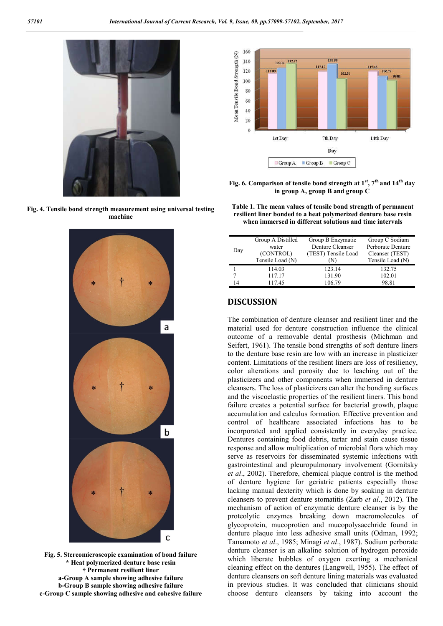

**Fig. 4. Tensile bond strength measurement using universal testing machine**



**Fig. 5. Stereomicroscopic examination of bond failure \* Heat polymerized denture base resin † Permanent resilient liner a-Group A sample showing adhesive failure b-Group B sample showing adhesive failure c-Group C sample showing adhesive and cohesive failure**



**Fig. 6. Comparison of tensile bond strength at 1st, 7th and 14th day in group A, group B and group C**

**Table 1. The mean values of tensile bond strength of permanent resilient liner bonded to a heat polymerized denture base resin when immersed in different solutions and time intervals**

| Day | Group A Distilled | Group B Enzymatic   | Group C Sodium    |
|-----|-------------------|---------------------|-------------------|
|     | water             | Denture Cleanser    | Perborate Denture |
|     | (CONTROL)         | (TEST) Tensile Load | Cleanser (TEST)   |
|     | Tensile Load (N)  | (N)                 | Tensile Load (N)  |
|     | 114.03            | 123.14              | 132.75            |
|     | 117.17            | 131.90              | 102.01            |
| 14  | 117.45            | 106.79              | 98.81             |
|     |                   |                     |                   |

#### **DISCUSSION**

The combination of denture cleanser and resilient liner and the material used for denture construction influence the clinical outcome of a removable dental prosthesis (Michman and Seifert, 1961). The tensile bond strengths of soft denture liners to the denture base resin are low with an increase in plasticizer content. Limitations of the resilient liners are loss of resiliency, color alterations and porosity due to leaching out of the plasticizers and other components when immersed in denture cleansers. The loss of plasticizers can alter the bonding surfaces and the viscoelastic properties of the resilient liners. This bond failure creates a potential surface for bacterial growth, plaque accumulation and calculus formation. Effective prevention and control of healthcare associated infections has to be incorporated and applied consistently in everyday practice. Dentures containing food debris, tartar and stain cause tissue response and allow multiplication of microbial flora which may serve as reservoirs for disseminated systemic infections with gastrointestinal and pleuropulmonary involvement (Gornitsky *et al*., 2002). Therefore, chemical plaque control is the method of denture hygiene for geriatric patients especially those lacking manual dexterity which is done by soaking in denture cleansers to prevent denture stomatitis (Zarb *et al*., 2012). The mechanism of action of enzymatic denture cleanser is by the proteolytic enzymes breaking down macromolecules of glycoprotein, mucoprotien and mucopolysacchride found in denture plaque into less adhesive small units (Odman, 1992; Tamamoto *et al*., 1985; Minagi *et al*., 1987). Sodium perborate denture cleanser is an alkaline solution of hydrogen peroxide which liberate bubbles of oxygen exerting a mechanical cleaning effect on the dentures (Langwell, 1955). The effect of denture cleansers on soft denture lining materials was evaluated in previous studies. It was concluded that clinicians should choose denture cleansers by taking into account the